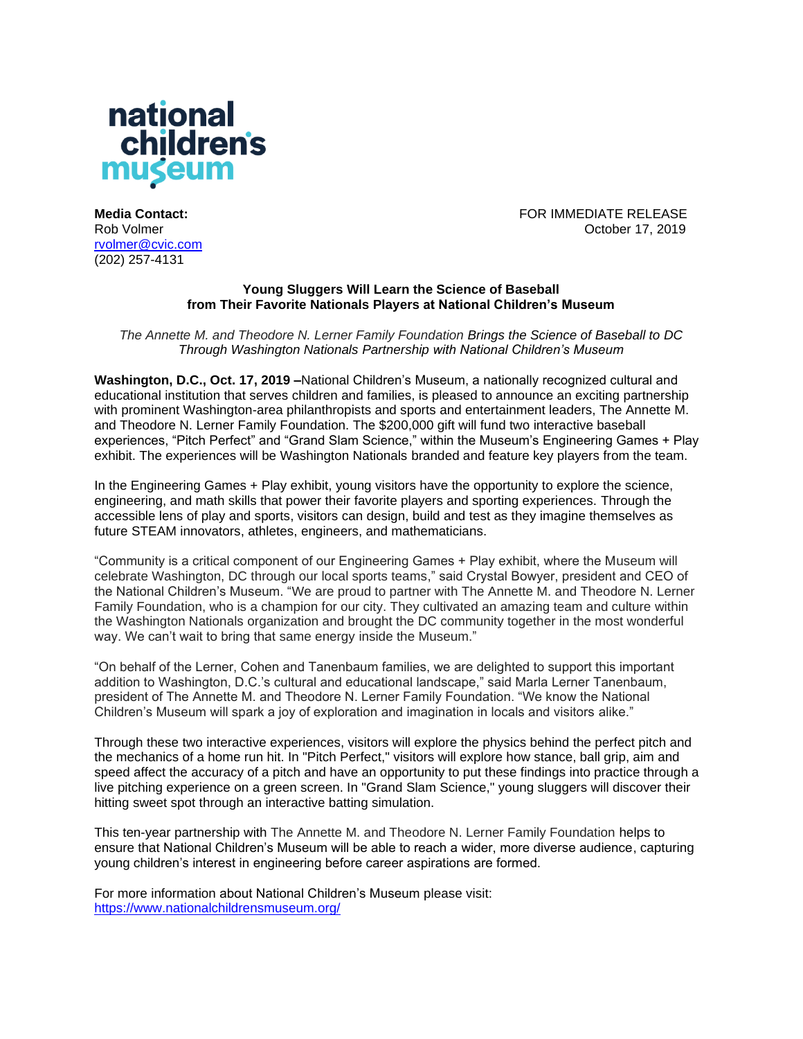

**Media Contact:** FOR IMMEDIATE RELEASE Rob Volmer October 17, 2019

[rvolmer@cvic.com](mailto:csartori@cvic.com) (202) 257-4131

## **Young Sluggers Will Learn the Science of Baseball from Their Favorite Nationals Players at National Children's Museum**

*The Annette M. and Theodore N. Lerner Family Foundation Brings the Science of Baseball to DC Through Washington Nationals Partnership with National Children's Museum*

**Washington, D.C., Oct. 17, 2019 –**National Children's Museum, a nationally recognized cultural and educational institution that serves children and families, is pleased to announce an exciting partnership with prominent Washington-area philanthropists and sports and entertainment leaders, The Annette M. and Theodore N. Lerner Family Foundation. The \$200,000 gift will fund two interactive baseball experiences, "Pitch Perfect" and "Grand Slam Science," within the Museum's Engineering Games + Play exhibit. The experiences will be Washington Nationals branded and feature key players from the team.

In the Engineering Games + Play exhibit, young visitors have the opportunity to explore the science, engineering, and math skills that power their favorite players and sporting experiences. Through the accessible lens of play and sports, visitors can design, build and test as they imagine themselves as future STEAM innovators, athletes, engineers, and mathematicians.

"Community is a critical component of our Engineering Games + Play exhibit, where the Museum will celebrate Washington, DC through our local sports teams," said Crystal Bowyer, president and CEO of the National Children's Museum. "We are proud to partner with The Annette M. and Theodore N. Lerner Family Foundation, who is a champion for our city. They cultivated an amazing team and culture within the Washington Nationals organization and brought the DC community together in the most wonderful way. We can't wait to bring that same energy inside the Museum."

"On behalf of the Lerner, Cohen and Tanenbaum families, we are delighted to support this important addition to Washington, D.C.'s cultural and educational landscape," said Marla Lerner Tanenbaum, president of The Annette M. and Theodore N. Lerner Family Foundation. "We know the National Children's Museum will spark a joy of exploration and imagination in locals and visitors alike."

Through these two interactive experiences, visitors will explore the physics behind the perfect pitch and the mechanics of a home run hit. In "Pitch Perfect," visitors will explore how stance, ball grip, aim and speed affect the accuracy of a pitch and have an opportunity to put these findings into practice through a live pitching experience on a green screen. In "Grand Slam Science," young sluggers will discover their hitting sweet spot through an interactive batting simulation.

This ten-year partnership with The Annette M. and Theodore N. Lerner Family Foundation helps to ensure that National Children's Museum will be able to reach a wider, more diverse audience, capturing young children's interest in engineering before career aspirations are formed.

For more information about National Children's Museum please visit: <https://www.nationalchildrensmuseum.org/>